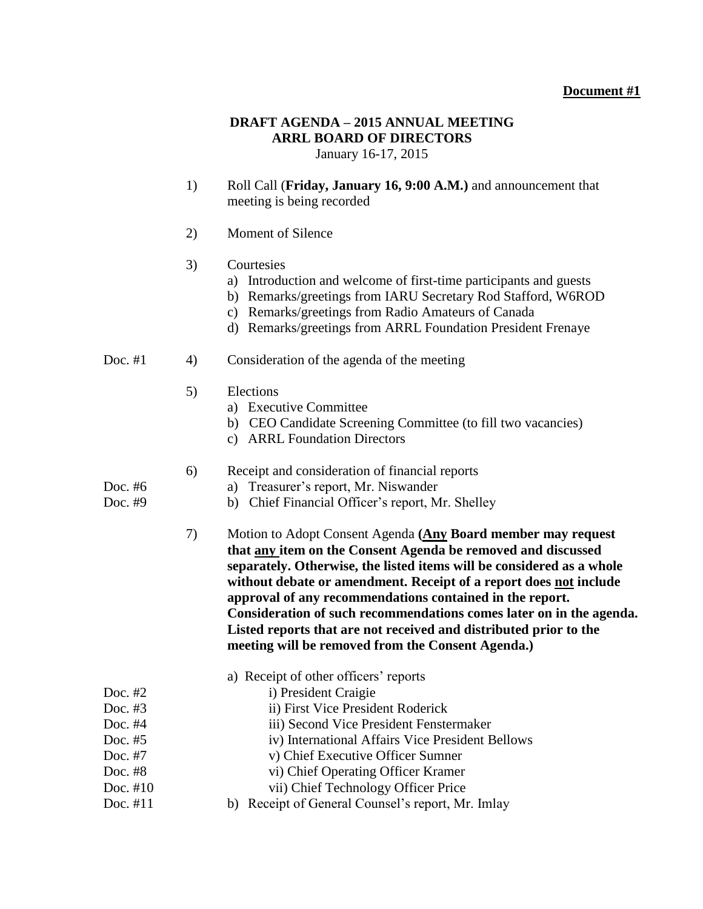### **Document #1**

# **DRAFT AGENDA – 2015 ANNUAL MEETING ARRL BOARD OF DIRECTORS**

January 16-17, 2015

- 1) Roll Call (**Friday, January 16, 9:00 A.M.)** and announcement that meeting is being recorded
- 2) Moment of Silence

### 3) Courtesies

- a) Introduction and welcome of first-time participants and guests
- b) Remarks/greetings from IARU Secretary Rod Stafford, W6ROD
- c) Remarks/greetings from Radio Amateurs of Canada
- d) Remarks/greetings from ARRL Foundation President Frenaye

#### Doc. #1 4) Consideration of the agenda of the meeting

- 5) Elections
	- a) Executive Committee
	- b) CEO Candidate Screening Committee (to fill two vacancies)
	- c) ARRL Foundation Directors

#### 6) Receipt and consideration of financial reports

- Doc. #6 a) Treasurer's report, Mr. Niswander
- Doc. #9 b) Chief Financial Officer's report, Mr. Shelley
	- 7) Motion to Adopt Consent Agenda **(Any Board member may request that any item on the Consent Agenda be removed and discussed separately. Otherwise, the listed items will be considered as a whole without debate or amendment. Receipt of a report does not include approval of any recommendations contained in the report. Consideration of such recommendations comes later on in the agenda. Listed reports that are not received and distributed prior to the meeting will be removed from the Consent Agenda.)**

|            | a) Receipt of other officers' reports             |  |
|------------|---------------------------------------------------|--|
| Doc. $#2$  | i) President Craigie                              |  |
| Doc. $#3$  | ii) First Vice President Roderick                 |  |
| Doc. $#4$  | iii) Second Vice President Fenstermaker           |  |
| Doc. $#5$  | iv) International Affairs Vice President Bellows  |  |
| Doc. $#7$  | v) Chief Executive Officer Sumner                 |  |
| Doc. $#8$  | vi) Chief Operating Officer Kramer                |  |
| Doc. $#10$ | vii) Chief Technology Officer Price               |  |
| Doc. $#11$ | b) Receipt of General Counsel's report, Mr. Imlay |  |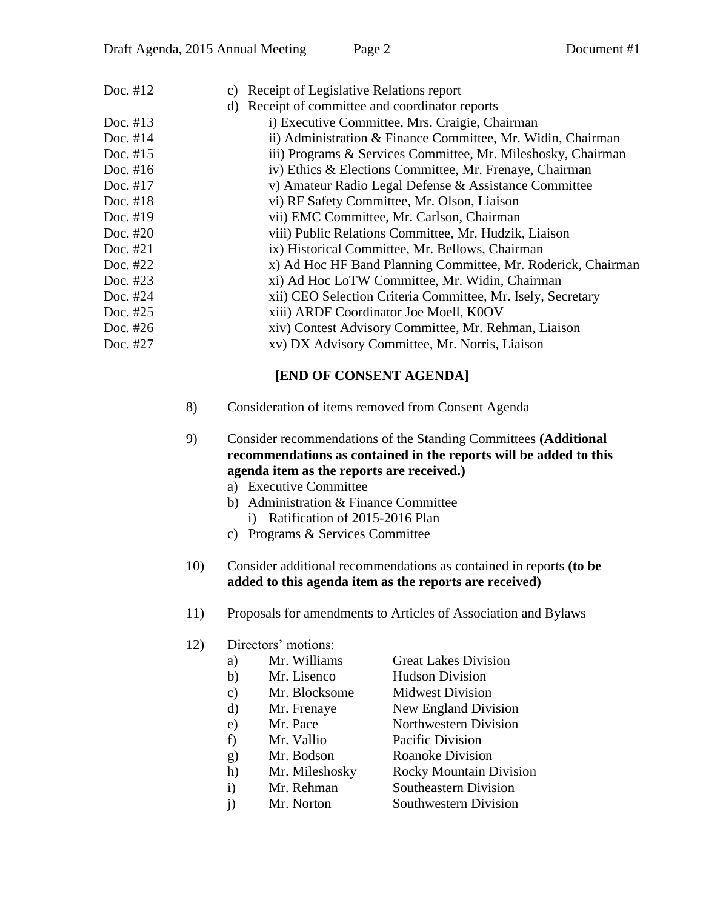| Doc. $#12$ | Receipt of Legislative Relations report<br>C)                |  |  |
|------------|--------------------------------------------------------------|--|--|
|            | d) Receipt of committee and coordinator reports              |  |  |
| Doc. $#13$ | i) Executive Committee, Mrs. Craigie, Chairman               |  |  |
| Doc. $#14$ | ii) Administration & Finance Committee, Mr. Widin, Chairman  |  |  |
| Doc. $#15$ | iii) Programs & Services Committee, Mr. Mileshosky, Chairman |  |  |
| Doc. $#16$ | iv) Ethics & Elections Committee, Mr. Frenaye, Chairman      |  |  |
| Doc. $#17$ | v) Amateur Radio Legal Defense & Assistance Committee        |  |  |
| Doc. $#18$ | vi) RF Safety Committee, Mr. Olson, Liaison                  |  |  |
| Doc. $#19$ | vii) EMC Committee, Mr. Carlson, Chairman                    |  |  |
| Doc. $#20$ | viii) Public Relations Committee, Mr. Hudzik, Liaison        |  |  |
| Doc. #21   | ix) Historical Committee, Mr. Bellows, Chairman              |  |  |
| Doc. #22   | x) Ad Hoc HF Band Planning Committee, Mr. Roderick, Chairman |  |  |
| Doc. #23   | xi) Ad Hoc LoTW Committee, Mr. Widin, Chairman               |  |  |
| Doc. #24   | xii) CEO Selection Criteria Committee, Mr. Isely, Secretary  |  |  |
| Doc. #25   | xiii) ARDF Coordinator Joe Moell, K0OV                       |  |  |
| Doc. #26   | xiv) Contest Advisory Committee, Mr. Rehman, Liaison         |  |  |
| Doc. #27   | xv) DX Advisory Committee, Mr. Norris, Liaison               |  |  |
|            | $\mathbf{r}$                                                 |  |  |

## **[END OF CONSENT AGENDA]**

- 8) Consideration of items removed from Consent Agenda
- 9) Consider recommendations of the Standing Committees **(Additional recommendations as contained in the reports will be added to this agenda item as the reports are received.)**
	- a) Executive Committee
	- b) Administration & Finance Committee
		- i) Ratification of 2015-2016 Plan
	- c) Programs & Services Committee
- 10) Consider additional recommendations as contained in reports **(to be added to this agenda item as the reports are received)**
- 11) Proposals for amendments to Articles of Association and Bylaws
- 12) Directors' motions:

| Mr. Williams<br>a) | <b>Great Lakes Division</b> |
|--------------------|-----------------------------|
|--------------------|-----------------------------|

- b) Mr. Lisenco Hudson Division
- c) Mr. Blocksome Midwest Division
- d) Mr. Frenaye New England Division
- e) Mr. Pace Northwestern Division
	-
- f) Mr. Vallio Pacific Division
- g) Mr. Bodson Roanoke Division
- h) Mr. Mileshosky Rocky Mountain Division
- i) Mr. Rehman Southeastern Division
- j) Mr. Norton Southwestern Division